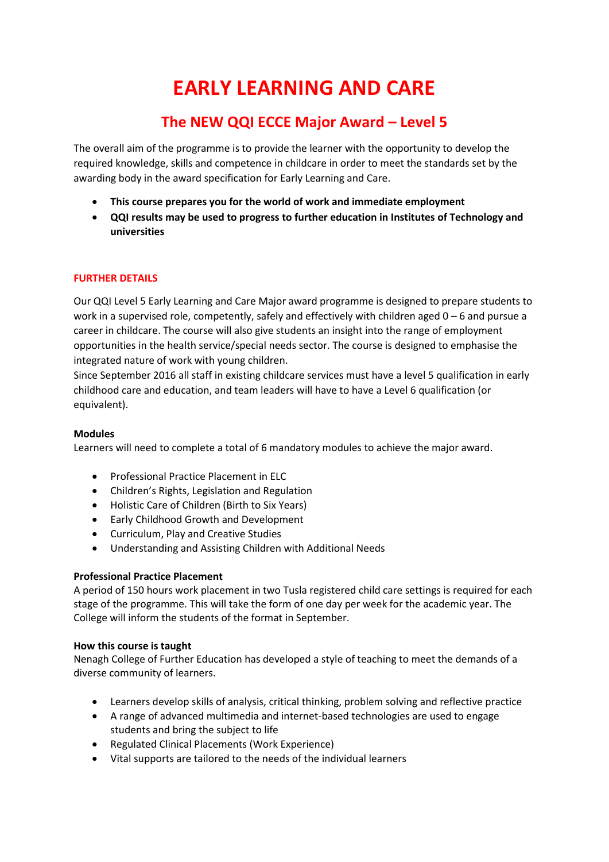# **EARLY LEARNING AND CARE**

# **The NEW QQI ECCE Major Award – Level 5**

The overall aim of the programme is to provide the learner with the opportunity to develop the required knowledge, skills and competence in childcare in order to meet the standards set by the awarding body in the award specification for Early Learning and Care.

- **This course prepares you for the world of work and immediate employment**
- **QQI results may be used to progress to further education in Institutes of Technology and universities**

## **FURTHER DETAILS**

Our QQI Level 5 Early Learning and Care Major award programme is designed to prepare students to work in a supervised role, competently, safely and effectively with children aged 0 – 6 and pursue a career in childcare. The course will also give students an insight into the range of employment opportunities in the health service/special needs sector. The course is designed to emphasise the integrated nature of work with young children.

Since September 2016 all staff in existing childcare services must have a level 5 qualification in early childhood care and education, and team leaders will have to have a Level 6 qualification (or equivalent).

#### **Modules**

Learners will need to complete a total of 6 mandatory modules to achieve the major award.

- Professional Practice Placement in ELC
- Children's Rights, Legislation and Regulation
- Holistic Care of Children (Birth to Six Years)
- Early Childhood Growth and Development
- Curriculum, Play and Creative Studies
- Understanding and Assisting Children with Additional Needs

## **Professional Practice Placement**

A period of 150 hours work placement in two Tusla registered child care settings is required for each stage of the programme. This will take the form of one day per week for the academic year. The College will inform the students of the format in September.

## **How this course is taught**

Nenagh College of Further Education has developed a style of teaching to meet the demands of a diverse community of learners.

- Learners develop skills of analysis, critical thinking, problem solving and reflective practice
- A range of advanced multimedia and internet-based technologies are used to engage students and bring the subject to life
- Regulated Clinical Placements (Work Experience)
- Vital supports are tailored to the needs of the individual learners